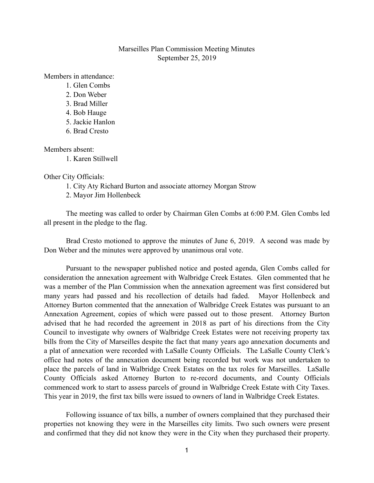## Marseilles Plan Commission Meeting Minutes September 25, 2019

Members in attendance:

- 1. Glen Combs
- 2. Don Weber
- 3. Brad Miller
- 4. Bob Hauge
- 5. Jackie Hanlon
- 6. Brad Cresto

Members absent:

1. Karen Stillwell

Other City Officials:

- 1. City Aty Richard Burton and associate attorney Morgan Strow
- 2. Mayor Jim Hollenbeck

The meeting was called to order by Chairman Glen Combs at 6:00 P.M. Glen Combs led all present in the pledge to the flag.

Brad Cresto motioned to approve the minutes of June 6, 2019. A second was made by Don Weber and the minutes were approved by unanimous oral vote.

Pursuant to the newspaper published notice and posted agenda, Glen Combs called for consideration the annexation agreement with Walbridge Creek Estates. Glen commented that he was a member of the Plan Commission when the annexation agreement was first considered but many years had passed and his recollection of details had faded. Mayor Hollenbeck and Attorney Burton commented that the annexation of Walbridge Creek Estates was pursuant to an Annexation Agreement, copies of which were passed out to those present. Attorney Burton advised that he had recorded the agreement in 2018 as part of his directions from the City Council to investigate why owners of Walbridge Creek Estates were not receiving property tax bills from the City of Marseilles despite the fact that many years ago annexation documents and a plat of annexation were recorded with LaSalle County Officials. The LaSalle County Clerk's office had notes of the annexation document being recorded but work was not undertaken to place the parcels of land in Walbridge Creek Estates on the tax roles for Marseilles. LaSalle County Officials asked Attorney Burton to re-record documents, and County Officials commenced work to start to assess parcels of ground in Walbridge Creek Estate with City Taxes. This year in 2019, the first tax bills were issued to owners of land in Walbridge Creek Estates.

 Following issuance of tax bills, a number of owners complained that they purchased their properties not knowing they were in the Marseilles city limits. Two such owners were present and confirmed that they did not know they were in the City when they purchased their property.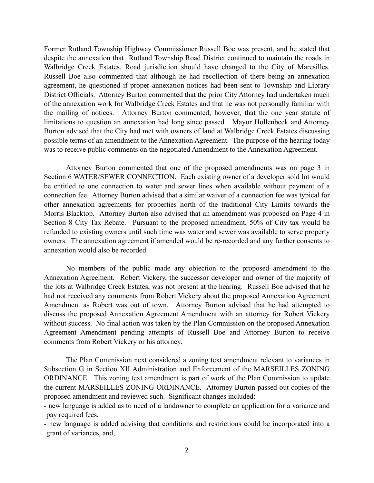Former Rutland Township Highway Commissioner Russell Boe was present, and he stated that despite the annexation that Rutland Township Road District continued to maintain the roads in Walbridge Creek Estates. Road jurisdiction should have changed to the City of Maresilles. Russell Boe also commented that although he had recollection of there being an annexation agreement, he questioned if proper annexation notices had been sent to Township and Library District Officials. Attorney Burton commented that the prior City Attorney had undertaken much of the annexation work for Walbridge Creek Estates and that he was not personally familiar with the mailing of notices. Attorney Burton commented, however, that the one year statute of limitations to question an annexation had long since passed. Mayor Hollenbeck and Attorney Burton advised that the City had met with owners of land at Walbridge Creek Estates discussing possible terms of an amendment to the Annexation Agreement. The purpose of the hearing today was to receive public comments on the negotiated Amendment to the Annexation Agreement.

 Attorney Burton commented that one of the proposed amendments was on page 3 in Section 6 WATER/SEWER CONNECTION. Each existing owner of a developer sold lot would be entitled to one connection to water and sewer lines when available without payment of a connection fee. Attorney Burton advised that a similar waiver of a connection fee was typical for other annexation agreements for properties north of the traditional City Limits towards the Morris Blacktop. Attorney Burton also advised that an amendment was proposed on Page 4 in Section 8 City Tax Rebate. Pursuant to the proposed amendment, 50% of City tax would be refunded to existing owners until such time was water and sewer was available to serve property owners. The annexation agreement if amended would be re-recorded and any further consents to annexation would also be recorded.

 No members of the public made any objection to the proposed amendment to the Annexation Agreement. Robert Vickery, the successor developer and owner of the majority of the lots at Walbridge Creek Estates, was not present at the hearing. Russell Boe advised that he had not received any comments from Robert Vickery about the proposed Annexation Agreement Amendment as Robert was out of town. Attorney Burton advised that he had attempted to discuss the proposed Annexation Agreement Amendment with an attorney for Robert Vickery without success. No final action was taken by the Plan Commission on the proposed Annexation Agreement Amendment pending attempts of Russell Boe and Attorney Burton to receive comments from Robert Vickery or his attorney.

The Plan Commission next considered a zoning text amendment relevant to variances in Subsection G in Section XII Administration and Enforcement of the MARSEILLES ZONING ORDINANCE. This zoning text amendment is part of work of the Plan Commission to update the current MARSEILLES ZONING ORDINANCE. Attorney Burton passed out copies of the proposed amendment and reviewed such. Significant changes included:

- new language is added as to need of a landowner to complete an application for a variance and pay required fees,

- new language is added advising that conditions and restrictions could be incorporated into a grant of variances, and,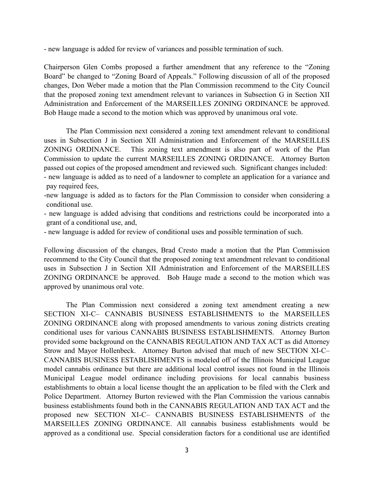- new language is added for review of variances and possible termination of such.

Chairperson Glen Combs proposed a further amendment that any reference to the "Zoning Board" be changed to "Zoning Board of Appeals." Following discussion of all of the proposed changes, Don Weber made a motion that the Plan Commission recommend to the City Council that the proposed zoning text amendment relevant to variances in Subsection G in Section XII Administration and Enforcement of the MARSEILLES ZONING ORDINANCE be approved. Bob Hauge made a second to the motion which was approved by unanimous oral vote.

The Plan Commission next considered a zoning text amendment relevant to conditional uses in Subsection J in Section XII Administration and Enforcement of the MARSEILLES ZONING ORDINANCE. This zoning text amendment is also part of work of the Plan Commission to update the current MARSEILLES ZONING ORDINANCE. Attorney Burton passed out copies of the proposed amendment and reviewed such. Significant changes included: - new language is added as to need of a landowner to complete an application for a variance and

pay required fees,

- -new language is added as to factors for the Plan Commission to consider when considering a conditional use.
- new language is added advising that conditions and restrictions could be incorporated into a grant of a conditional use, and,
- new language is added for review of conditional uses and possible termination of such.

Following discussion of the changes, Brad Cresto made a motion that the Plan Commission recommend to the City Council that the proposed zoning text amendment relevant to conditional uses in Subsection J in Section XII Administration and Enforcement of the MARSEILLES ZONING ORDINANCE be approved. Bob Hauge made a second to the motion which was approved by unanimous oral vote.

The Plan Commission next considered a zoning text amendment creating a new SECTION XI-C– CANNABIS BUSINESS ESTABLISHMENTS to the MARSEILLES ZONING ORDINANCE along with proposed amendments to various zoning districts creating conditional uses for various CANNABIS BUSINESS ESTABLISHMENTS. Attorney Burton provided some background on the CANNABIS REGULATION AND TAX ACT as did Attorney Strow and Mayor Hollenbeck. Attorney Burton advised that much of new SECTION XI-C– CANNABIS BUSINESS ESTABLISHMENTS is modeled off of the Illinois Municipal League model cannabis ordinance but there are additional local control issues not found in the Illinois Municipal League model ordinance including provisions for local cannabis business establishments to obtain a local license thought the an application to be filed with the Clerk and Police Department. Attorney Burton reviewed with the Plan Commission the various cannabis business establishments found both in the CANNABIS REGULATION AND TAX ACT and the proposed new SECTION XI-C– CANNABIS BUSINESS ESTABLISHMENTS of the MARSEILLES ZONING ORDINANCE. All cannabis business establishments would be approved as a conditional use. Special consideration factors for a conditional use are identified